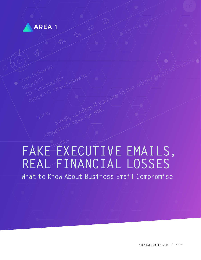

# **FAKE EXECUTIVE EMAILS, REAL FINANCIAL LOSSES** Thanks

**What to Know About Business Email Compromise**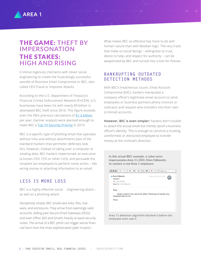# THE GAME: THEFT BY IMPERSONATION THE STAKES: HIGH AND RISING

Criminal ingenuity intersects with clever social engineering to create the frustratingly successful swindle of Business Email Compromise or BEC, also called CEO Fraud or Imposter Attacks.

According to the U.S. Department of Treasury's Financial Crimes Enforcement Network (FinCEN), U.S. businesses have been hit with nearly \$9 billion in attempted BEC theft since 2016. This figure exceeds even the FBI's previous calculations of [\\$1.3 billion](https://www.zdnet.com/article/fbi-us-companies-lost-1-3-billion-in-2018-due-to-bec-scams/) per year. Gartner analysts were alarmed enough to make BEC a [Top 10 Security Priority](https://www.area1security.com/blog/gartner-security-analysts-name-bec-phish-a-top-10-priority/) in 2019.

BEC is a specific type of phishing email that operates without links and without attachments (two of the standard markers that perimeter defenses look for). However, instead of taking over a computer or stealing data, BEC hackers impersonate an executive (a known CEO, CFO or other CxO), and persuade the recipient (an employee) to perform some action – like wiring money or attaching information to an email.

# **LESS IS MORE LOSS**

BEC is a highly effective social engineering attack – as well as a phishing attack.

Deceptively simple, BEC emails lack links, files, malware, and enclosures. They arrive from seemingly valid accounts, sliding past Secure Email Gateways (SEGs) and even Office 365 and Gmail's heavily arrayed security suites. The arrival of a BEC phish can trigger worse financial harm than the most sophisticated cyber invasion.

What makes BEC so effective has more to do with human nature than with Boolean logic. The very traits that make us social beings – willingness to trust, desire to help, and respect for authority – can be weaponized by BEC and turned into a tool for thieves.

# **BANKRUPTING OUTDATED DETECTION METHODS**

With BEC's treacherous cousin, Email Account Compromise (EAC), hackers manipulate a company officer's legitimate email account to send employees or business partners phony invoices or contracts and request wire transfers into their own (criminal) accounts.

**However, BEC is even simpler:** hackers don't trouble to attack the actual email but merely spoof a business officer's identity. This is enough to convince a trusting, uninformed, or distracted employee to transfer money at the criminal's direction.

**In this actual BEC example, a cyber actor impersonates Area 1's CEO, Oren Falkowitz, to contact a real Area 1 employee:** • Oren Falkowitz March 8, 2018 at 11:52 AM  $OF$ REQUEST To: Sara Hedrick Reply-To: Oren Falkowitz Sara. Kindly confirm if you are in the office? Need you to handle very important task for me. Thanks Area 1's detection algorithm blocked it before the employee even saw it.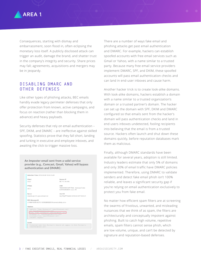

Consequences, starting with dismay and embarrassment, soon flood in, often eclipsing the monetary loss itself. A publicly disclosed attack can trigger an audit, damage the brand, and shatter trust in the company's integrity and security. Share prices may fall; agreements, acquisitions and mergers may be in jeopardy.

# **DISABLING DMARC AND OTHER DEFENSES**

Like other types of phishing attacks, BEC emails handily evade legacy perimeter defenses that only offer protection from known, active campaigns, and focus on reaction (rather than blocking them in advance) and heavy payloads.

Security defenses that rely on email authentication – SPF, DKIM, and DMARC – are ineffective against skilled spoofing. Statistics prove that they fall short, landing and lurking in executive and employee inboxes, and awaiting the click to trigger massive loss.

| An Imposter email sent from a valid service<br>provider (e.g., Comcast, Gmail, Yahoo) will bypass<br>authentication and DMARC: |                                        |                                                              |
|--------------------------------------------------------------------------------------------------------------------------------|----------------------------------------|--------------------------------------------------------------|
|                                                                                                                                | Detection Time: 2018-03-08 19:52:24+00 |                                                              |
|                                                                                                                                | Client                                 | Source IP                                                    |
|                                                                                                                                | area1                                  | 96.114.154.160                                               |
|                                                                                                                                | IP/Geo                                 | ASN                                                          |
|                                                                                                                                | US/-/-                                 | 7922/COMCAST-7922 - Comcast Cable<br>Communications, LLC, US |

#### Server Alert ID 3zy1Pg3PPGz3r2r-2018-03-08T19:52:24 esqmta-po-01v.sys.comcast.net RFC Message-ID -1196915259.85276.1520538592620@connect.xfinity.com> Headers

### "Oren Falkowitz" <xeoc0@comcast.net sara@arealsecurity.com> envelope to: <sara@arealsecurity.com/<br>envelope to: <sara@arealsecurity.com/<br>envelope\_from: <xeoc0@comcast.net><br>Subject: REQUEST

sues<br>Protected name Oren Falkowitz should not appear in Oren Falkowitz<br><xeocO@comcast.net>

There are a number of ways fake email and phishing attacks get past email authentication and DMARC. For example, hackers can establish spoofed accounts with free email services such as Gmail or Yahoo, with a name similar to a trusted party. Because many free email service providers implement DMARC, SPF, and DKIM, these spoofed accounts will pass email authentication checks and can land in end-user inboxes and cause harm.

Another hacker trick is to create look-alike domains. With look-alike domains, hackers establish a domain with a name similar to a trusted organization's domain or a trusted partner's domain. The hacker can set up the domain with SPF, DKIM and DMARC configured so that emails sent from the hacker's domain will pass authentication checks and land in end users inboxes undetected, fooling recipients into believing that the email is from a trusted source. Hackers often launch and shut down these domains quickly, before reputation databases mark them as malicious.

Finally, although DMARC standards have been available for several years, adoption is still limited. Industry leaders estimate that only 5% of domains and only 30% of email traffic have DMARC policies implemented. Therefore, using DMARC to validate senders and detect fake email phish isn't 100% reliable, and leaves a significant security gap if you're relying on email authentication exclusively to protect you from fake email.

No matter how efficient spam filters are at screening the swarms of frivolous, unwanted, and misleading nuisances that we think of as spam, the filters are architecturally and conceptually impotent against phishing. Built to catch high volume, repetitive emails, spam filters cannot sense phish, which are low volume, unique, and can't be detected by signature and reputation-based defenses.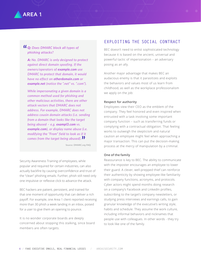

# **10 Q:** Does DMARC block all types of phishing attacks? *phishing attacks?*

*A: No. DMARC is only designed to protect against direct domain spoofing. If the owners/operators of [example.com](http://example.com) use DMARC to protect that domain, it would have no effect on [otherdomain.com](http://otherdomain.com) or [example.net](http://example.net) (notice the ".net" vs. ".com").*

*While impersonating a given domain is a common method used for phishing and other malicious activities, there are other attack vectors that DMARC does not address. For example, DMARC does not address cousin domain attacks (i.e. sending from a domain that looks like the target being abused – e.g. [exampl3.com](http://exampl3.com) vs. [example.com](http://example.com)), or display name abuse (i.e. modifying the "From" field to look as if it comes from the target being abused).* **"**

Source: DMARC.org FAQ

Security Awareness Training of employees, while popular and required for certain industries, can also actually backfire by causing overconfidence and trust of the "clean" phishing emails. Further, phish still need only one impulsive or reflexive click to advance the attack.

BEC hackers are patient, persistent, and trained for that one moment of opportunity that can deliver a rich payoff. For example, one Area 1 client reported receiving more than 30 phish a week landing in an inbox, poised for a user to give them an opening to pounce.

It is no wonder corporate boards are deeply concerned about stopping this stalking, since board members are often targets.

# **EXPLOITING THE SOCIAL CONTRACT**

BEC doesn't need to enlist sophisticated technology because it is based on the ancient, universal and powerful tactic of impersonation – an adversary posing as an ally.

Another major advantage that makes BEC an audacious enemy is that it parasitizes and exploits the behaviors and values most of us learn from childhood, as well as the workplace professionalism we apply on the job:

#### **Respect for authority**

Employees view their CEO as the emblem of the company. They feel honored and even inspired when entrusted with a task involving some important company function – such as transferring funds or complying with a contractual obligation. That feeling works to outweigh the skepticism and natural caution an employee might feel when approaching a major transaction. This can put the decision-making process at the mercy of manipulation by a criminal.

#### **One of the family**

Reassurance is key to BEC. The ability to communicate with the imposter encourages an employee to lower their guard. A clever, well-prepped thief can reinforce their authenticity by showing employee-like familiarity with company functions, acronyms, and protocols. Cyber actors might spend months doing research on a company's Facebook and LinkedIn profiles, subscribing to the target's company newsletters, or studying press interviews and earnings calls, to gain granular knowledge of the executive's writing style, habits and schedule. They assume the work culture, including informal behaviors and nicknames that people use with colleagues. In other words - they try to look like one of the family.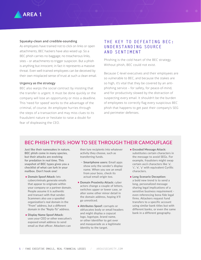#### **Squeaky-clean and credible-sounding**

As employees have trained not to click on links or open attachments, BEC hackers have also wised up. So a BEC phish carries no baggage; no treacherous links, sites – or attachments to trigger suspicion. But a phish is anything but innocent; in fact it represents a massive threat. Even well-trained employees can be deceived by their own misplaced sense of trust at such a clean email.

#### **Urgency as the strategy**

BEC also warps the social contract by insisting that the transfer is urgent. It must be done quickly or the company will lose an opportunity or miss a deadline. This 'need for speed' works to the advantage of the criminal, of course. An employee hurries through the steps of a transaction and may miss clues to its fraudulent nature or hesitate to raise a doubt for fear of displeasing the CEO.

# **THE KEY TO DEFEATING BEC: UNDERSTANDING SOURCE AND SENTIMENT**

Phishing is the cold heart of the BEC strategy. Without phish, BEC could not exist.

Because C-level executives and their employees are so vulnerable to BEC, and because the stakes are so high, it's vital that they be covered by an antiphishing service – for safety, for peace-of-mind, and for productivity slowed by the distraction of suspecting every email. It shouldn't be the burden of employees to correctly flag every suspicious BEC phish that happens to get past their company's SEG and perimeter defenses.

# **BEC PHISH TYPES: HOW TO SEE THROUGH THEIR CAMOUFLAGE**

**Just like their namesakes in nature, BEC phish come in many species, but their attacks are evolving for predation in real time. This snapshot of BEC types gives you a checklist of what can lurk in your mailbox. Don't hook one!** 

- **Domain Spoof Attack: lets** cybercriminals generate emails that appear to originate within your company or a partner domain. People assume it is authentic and transact with that sender. Scammers also use a spoofed organization's real domain in the "From" address, but a different domain in the "Reply-To" address.
- **Display Name Spoof Attack:** uses your CEO or other executive's exposed email address to send email as that officer. Attackers can

then lure recipients into whatever activity they choose, such as transferring funds.

- − **Smartphone users:** Email apps show only the sender's display name. When you see an email from your boss, check its actual email origin too.
- **Domain Proximity Attack: cyber** actors change a couple of letters, switches upper or lower case, or alter some other minor detail in the domain address, hoping it'll go unnoticed.
- **Attributes Spoof:** corrupts or obfuscates body or email headers and might display a copycat logo, logotype, brand name, or other identifier to get over and masquerade as a legitimate identity to the target.
- **Encoded Message Attack:** substitutes certain characters in the message to avoid SEGs. For example, fraudsters might swap certain ascii characters like 'a', 'c', 'e', 'y' with equivalent Cyrillic characters.
- Long Scenario Deception: a bold new trend is to send a long, personalized message sharing legal implications of a sensitive business requirement even referencing bona fide legal firms. Attackers request fund transfers to a specific account using similar bank titles but with different banks, or even the same bank in a different geography.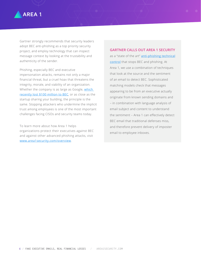

Gartner strongly recommends that security leaders adopt BEC anti-phishing as a top priority security project, and employ technology that can inspect message context by looking at the trustability and authenticity of the sender.

Phishing, especially BEC and executive impersonation attacks, remains not only a major financial threat, but a cruel hoax that threatens the integrity, morale, and viability of an organization. Whether the company is as large as Google, which [recently lost \\$100 million to BEC](https://www.cnbc.com/2019/03/27/phishing-email-scam-stole-100-million-from-facebook-and-google.html), or as close as the startup sharing your building, the principle is the same. Stopping attackers who undermine the implicit trust among employees is one of the most important challenges facing CISOs and security teams today.

To learn more about how Area 1 helps organizations protect their executives against BEC and against other advanced phishing attacks, visit [www.area1security.com/overview](http://www.area1security.com/overview).

#### **GARTNER CALLS OUT AREA 1 SECURITY**

as a "state of the art" **anti-phishing technical** [control](https://www.area1security.com/?utm_source=blog&utm_medium=medium&utm_ca) that stops BEC and phishing. At Area 1, we use a combination of techniques that look at the source and the sentiment of an email to detect BEC. Sophisticated matching models check that messages appearing to be from an executive actually originate from known sending domains and – in combination with language analysis of email subject and content to understand the sentiment – Area 1 can effectively detect BEC email that traditional defenses miss, and therefore prevent delivery of imposter email to employee inboxes.